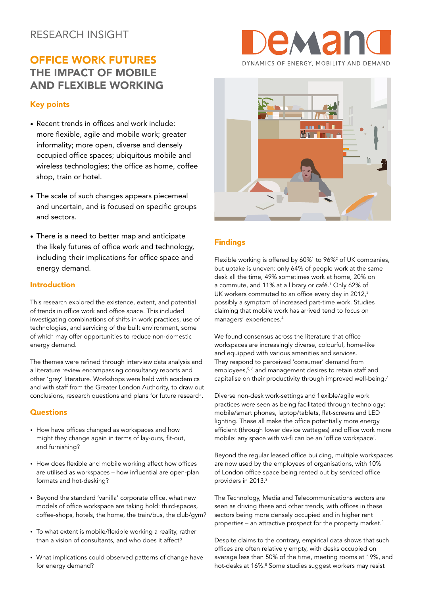# RESEARCH INSIGHT

# OFFICE WORK FUTURES THE IMPACT OF MOBILE AND FLEXIBLE WORKING

# Key points

- Recent trends in offices and work include: more flexible, agile and mobile work; greater informality; more open, diverse and densely occupied office spaces; ubiquitous mobile and wireless technologies; the office as home, coffee shop, train or hotel.
- The scale of such changes appears piecemeal and uncertain, and is focused on specific groups and sectors.
- There is a need to better map and anticipate the likely futures of office work and technology, including their implications for office space and energy demand.

## Introduction

This research explored the existence, extent, and potential of trends in office work and office space. This included investigating combinations of shifts in work practices, use of technologies, and servicing of the built environment, some of which may offer opportunities to reduce non-domestic energy demand.

The themes were refined through interview data analysis and a literature review encompassing consultancy reports and other 'grey' literature. Workshops were held with academics and with staff from the Greater London Authority, to draw out conclusions, research questions and plans for future research.

### **Questions**

- How have offices changed as workspaces and how might they change again in terms of lay-outs, fit-out, and furnishing?
- How does flexible and mobile working affect how offices are utilised as workspaces – how influential are open-plan formats and hot-desking?
- Beyond the standard 'vanilla' corporate office, what new models of office workspace are taking hold: third-spaces, coffee-shops, hotels, the home, the train/bus, the club/gym?
- To what extent is mobile/flexible working a reality, rather than a vision of consultants, and who does it affect?
- What implications could observed patterns of change have for energy demand?





# Findings

Flexible working is offered by 60%<sup>1</sup> to 96%<sup>2</sup> of UK companies, but uptake is uneven: only 64% of people work at the same desk all the time, 49% sometimes work at home, 20% on a commute, and 11% at a library or café.<sup>1</sup> Only 62% of UK workers commuted to an office every day in 2012,<sup>3</sup> possibly a symptom of increased part-time work. Studies claiming that mobile work has arrived tend to focus on managers' experiences.4

We found consensus across the literature that office workspaces are increasingly diverse, colourful, home-like and equipped with various amenities and services. They respond to perceived 'consumer' demand from employees,<sup>5, 6</sup> and management desires to retain staff and capitalise on their productivity through improved well-being.<sup>7</sup>

Diverse non-desk work-settings and flexible/agile work practices were seen as being facilitated through technology: mobile/smart phones, laptop/tablets, flat-screens and LED lighting. These all make the office potentially more energy efficient (through lower device wattages) and office work more mobile: any space with wi-fi can be an 'office workspace'.

Beyond the regular leased office building, multiple workspaces are now used by the employees of organisations, with 10% of London office space being rented out by serviced office providers in 2013.<sup>3</sup>

The Technology, Media and Telecommunications sectors are seen as driving these and other trends, with offices in these sectors being more densely occupied and in higher rent properties – an attractive prospect for the property market.3

Despite claims to the contrary, empirical data shows that such offices are often relatively empty, with desks occupied on average less than 50% of the time, meeting rooms at 19%, and hot-desks at 16%.<sup>8</sup> Some studies suggest workers may resist